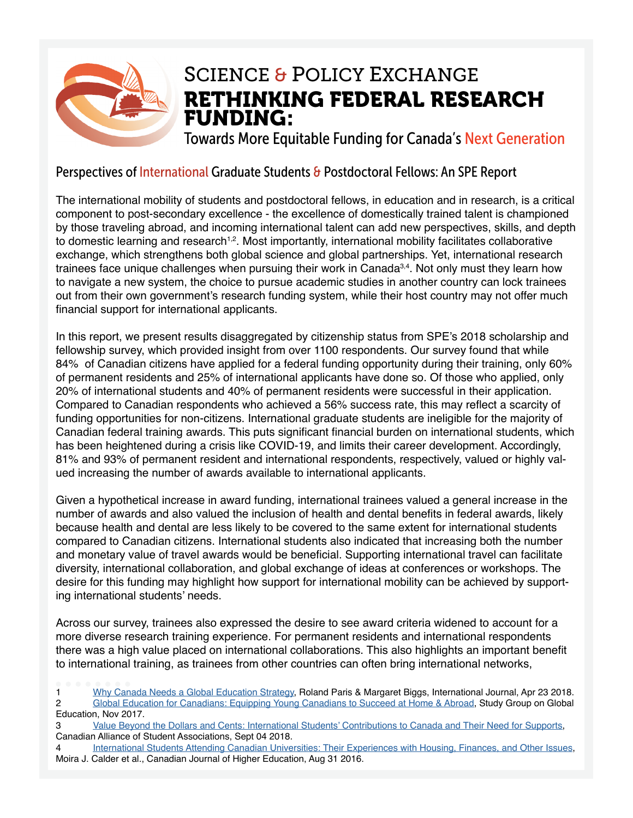

### RETHINKING FEDERAL RESEARCH FUNDING: SCIENCE & POLICY EXCHANGE

Towards More Equitable Funding for Canada's Next Generation

#### Perspectives of International Graduate Students & Postdoctoral Fellows: An SPE Report

The international mobility of students and postdoctoral fellows, in education and in research, is a critical component to post-secondary excellence - the excellence of domestically trained talent is championed by those traveling abroad, and incoming international talent can add new perspectives, skills, and depth to domestic learning and research<sup>1,2</sup>. Most importantly, international mobility facilitates collaborative exchange, which strengthens both global science and global partnerships. Yet, international research trainees face unique challenges when pursuing their work in Canada<sup>3,4</sup>. Not only must they learn how to navigate a new system, the choice to pursue academic studies in another country can lock trainees out from their own government's research funding system, while their host country may not offer much financial support for international applicants.

In this report, we present results disaggregated by citizenship status from SPE's 2018 scholarship and fellowship survey, which provided insight from over 1100 respondents. Our survey found that while 84% of Canadian citizens have applied for a federal funding opportunity during their training, only 60% of permanent residents and 25% of international applicants have done so. Of those who applied, only 20% of international students and 40% of permanent residents were successful in their application. Compared to Canadian respondents who achieved a 56% success rate, this may refect a scarcity of funding opportunities for non-citizens. International graduate students are ineligible for the majority of Canadian federal training awards. This puts signifcant fnancial burden on international students, which has been heightened during a crisis like COVID-19, and limits their career development. Accordingly, 81% and 93% of permanent resident and international respondents, respectively, valued or highly valued increasing the number of awards available to international applicants.

Given a hypothetical increase in award funding, international trainees valued a general increase in the number of awards and also valued the inclusion of health and dental benefts in federal awards, likely because health and dental are less likely to be covered to the same extent for international students compared to Canadian citizens. International students also indicated that increasing both the number and monetary value of travel awards would be beneficial. Supporting international travel can facilitate diversity, international collaboration, and global exchange of ideas at conferences or workshops. The desire for this funding may highlight how support for international mobility can be achieved by supporting international students' needs.

Across our survey, trainees also expressed the desire to see award criteria widened to account for a more diverse research training experience. For permanent residents and international respondents there was a high value placed on international collaborations. This also highlights an important beneft to international training, as trainees from other countries can often bring international networks,

- 1 [Why Canada Needs a Global Education Strategy](https://journals.sagepub.com/doi/10.1177/0020702018768481), Roland Paris & Margaret Biggs, International Journal, Apr 23 2018. 2 [Global Education for Canadians: Equipping Young Canadians to Succeed at Home & Abroad](https://docs.wixstatic.com/ugd/dd9c01_6f11f8f5819944b7b1644778f4b32401.pdf), Study Group on Global Education, Nov 2017.
- 3 [Value Beyond the Dollars and Cents: International Students' Contributions to Canada and Their Need for Supports](https://www.casa-acae.com/value_beyond_the_dollars_and_cents_international_students_contributions_to_canada_and_their_need_for_supports), Canadian Alliance of Student Associations, Sept 04 2018.
- 4 [International Students Attending Canadian Universities: Their Experiences with Housing, Finances, and Other Issues](https://journals.sfu.ca/cjhe/index.php/cjhe/article/view/184585), Moira J. Calder et al., Canadian Journal of Higher Education, Aug 31 2016.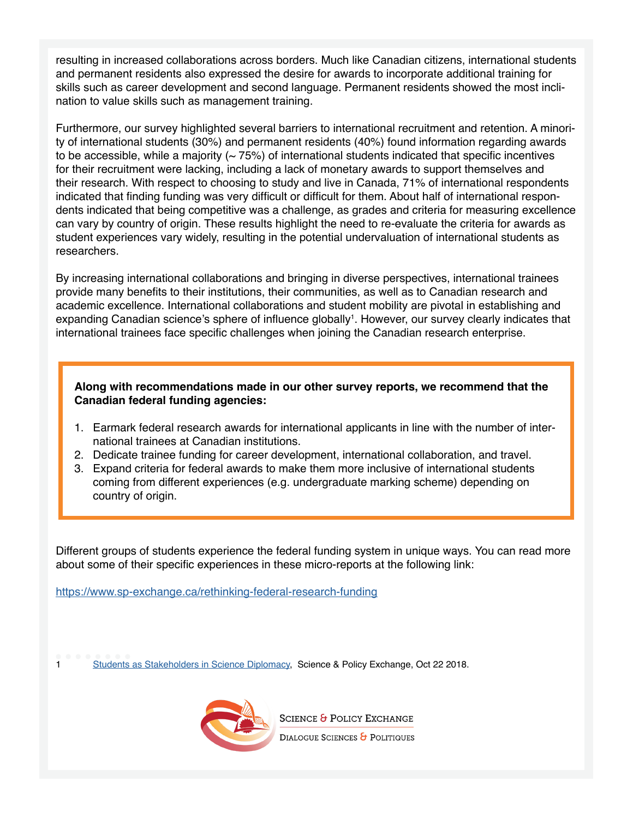resulting in increased collaborations across borders. Much like Canadian citizens, international students and permanent residents also expressed the desire for awards to incorporate additional training for skills such as career development and second language. Permanent residents showed the most inclination to value skills such as management training.

Furthermore, our survey highlighted several barriers to international recruitment and retention. A minority of international students (30%) and permanent residents (40%) found information regarding awards to be accessible, while a majority  $($   $\sim$  75%) of international students indicated that specific incentives for their recruitment were lacking, including a lack of monetary awards to support themselves and their research. With respect to choosing to study and live in Canada, 71% of international respondents indicated that finding funding was very difficult or difficult for them. About half of international respondents indicated that being competitive was a challenge, as grades and criteria for measuring excellence can vary by country of origin. These results highlight the need to re-evaluate the criteria for awards as student experiences vary widely, resulting in the potential undervaluation of international students as researchers.

By increasing international collaborations and bringing in diverse perspectives, international trainees provide many benefts to their institutions, their communities, as well as to Canadian research and academic excellence. International collaborations and student mobility are pivotal in establishing and expanding Canadian science's sphere of influence globally<sup>1</sup>. However, our survey clearly indicates that international trainees face specific challenges when joining the Canadian research enterprise.

#### **Along with recommendations made in our other survey reports, we recommend that the Canadian federal funding agencies:**

- 1. Earmark federal research awards for international applicants in line with the number of international trainees at Canadian institutions.
- 2. Dedicate trainee funding for career development, international collaboration, and travel.
- 3. Expand criteria for federal awards to make them more inclusive of international students coming from different experiences (e.g. undergraduate marking scheme) depending on country of origin.

Different groups of students experience the federal funding system in unique ways. You can read more about some of their specific experiences in these micro-reports at the following link:

<https://www.sp-exchange.ca/rethinking-federal-research-funding>

1 [Students as Stakeholders in Science Diplomacy](https://www.fulbright.ca/uploads/pdf/news/students-as-stakeholders-in-science-diplomacy-english.pdf), Science & Policy Exchange, Oct 22 2018.



**SCIENCE & POLICY EXCHANGE** DIALOGUE SCIENCES & POLITIQUES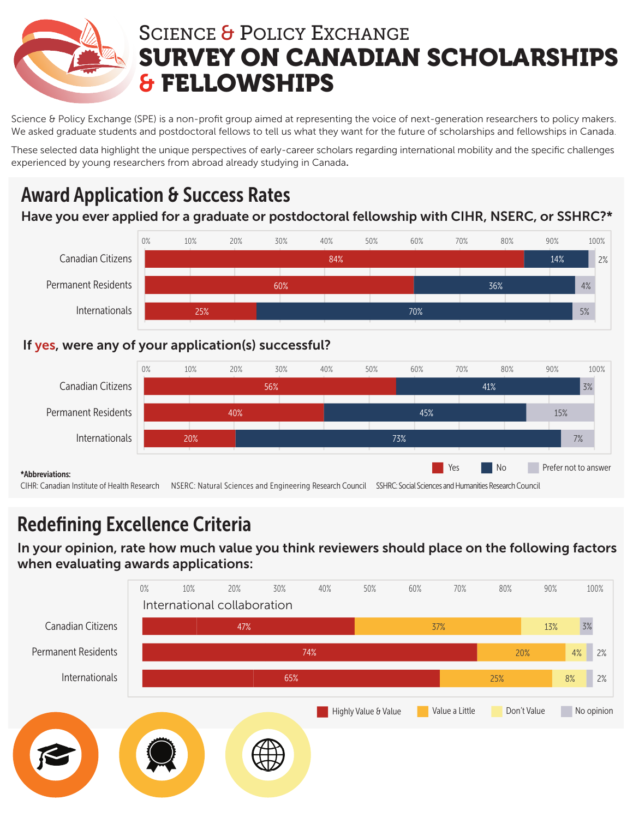

# SCIENCE & POLICY EXCHANGE SURVEY ON CANADIAN SCHOLARSHIPS & FELLOWSHIPS

Science & Policy Exchange (SPE) is a non-profit group aimed at representing the voice of next-generation researchers to policy makers. We asked graduate students and postdoctoral fellows to tell us what they want for the future of scholarships and fellowships in Canada.

These selected data highlight the unique perspectives of early-career scholars regarding international mobility and the specific challenges experienced by young researchers from abroad already studying in Canada.

## Award Application & Success Rates

### Have you ever applied for a graduate or postdoctoral fellowship with CIHR, NSERC, or SSHRC?\*



### If yes, were any of your application(s) successful?



## Redefining Excellence Criteria

In your opinion, rate how much value you think reviewers should place on the following factors when evaluating awards applications:

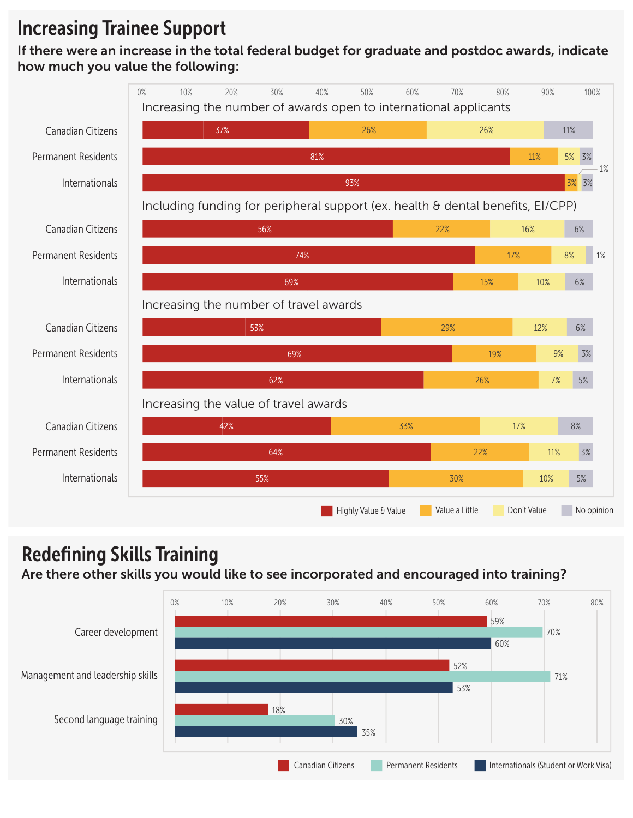## Increasing Trainee Support

If there were an increase in the total federal budget for graduate and postdoc awards, indicate how much you value the following:



### Redefining Skills Training

### Are there other skills you would like to see incorporated and encouraged into training?